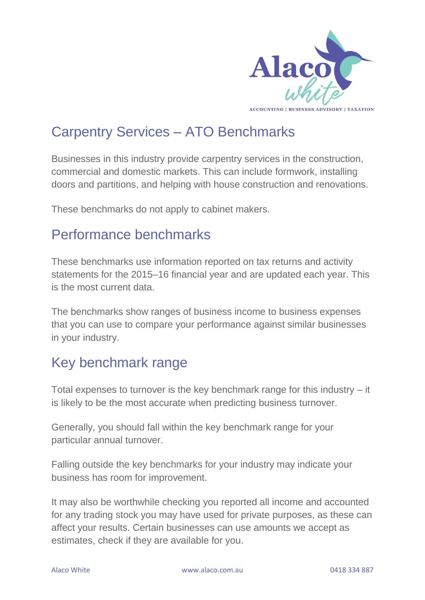

## Carpentry Services – ATO Benchmarks

Businesses in this industry provide carpentry services in the construction, commercial and domestic markets. This can include formwork, installing doors and partitions, and helping with house construction and renovations.

These benchmarks do not apply to cabinet makers.

### Performance benchmarks

These benchmarks use information reported on tax returns and activity statements for the 2015–16 financial year and are updated each year. This is the most current data.

The benchmarks show ranges of business income to business expenses that you can use to compare your performance against similar businesses in your industry.

## Key benchmark range

Total expenses to turnover is the key benchmark range for this industry – it is likely to be the most accurate when predicting business turnover.

Generally, you should fall within the key benchmark range for your particular annual turnover.

Falling outside the key benchmarks for your industry may indicate your business has room for improvement.

It may also be worthwhile checking you reported all income and accounted for any trading stock you may have used for private purposes, as these can affect your results. Certain businesses can use amounts we accept as estimates, check if they are available for you.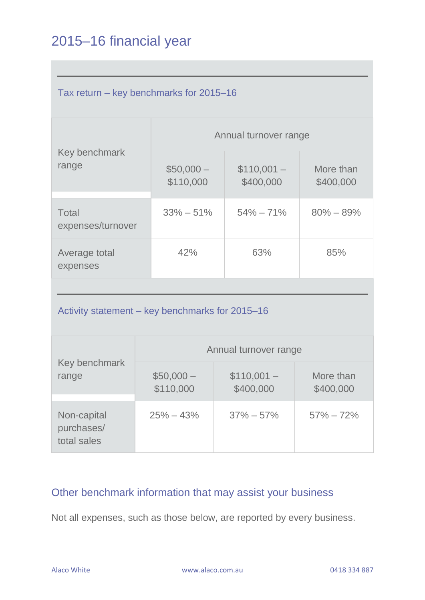# 2015–16 financial year

| Tax return – key benchmarks for 2015–16         |  |                         |  |                          |                        |  |  |
|-------------------------------------------------|--|-------------------------|--|--------------------------|------------------------|--|--|
|                                                 |  | Annual turnover range   |  |                          |                        |  |  |
| Key benchmark<br>range                          |  | $$50,000-$<br>\$110,000 |  | $$110,001-$<br>\$400,000 | More than<br>\$400,000 |  |  |
| <b>Total</b><br>expenses/turnover               |  | $33\% - 51\%$           |  | $54\% - 71\%$            | $80\% - 89\%$          |  |  |
| Average total<br>expenses                       |  | 42%                     |  | 63%                      | 85%                    |  |  |
|                                                 |  |                         |  |                          |                        |  |  |
| Activity statement – key benchmarks for 2015–16 |  |                         |  |                          |                        |  |  |
| Key benchmark<br>range                          |  | Annual turnover range   |  |                          |                        |  |  |
|                                                 |  | $$50,000-$<br>\$110,000 |  | $$110,001-$<br>\$400,000 | More than<br>\$400,000 |  |  |
| Non-capital<br>purchases/<br>total sales        |  | $25\% - 43\%$           |  | $37\% - 57\%$            | $57\% - 72\%$          |  |  |

#### Other benchmark information that may assist your business

Not all expenses, such as those below, are reported by every business.